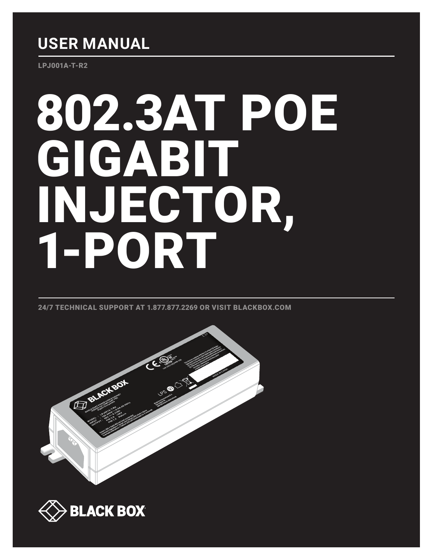## **USER MANUAL**

LPJ001A-T-R2

# 802.3AT POE GIGABIT INJECTOR, 1-PORT

24/7 TECHNICAL SUPPORT AT 1.877.877.2269 OR VISIT BLACKBOX.COM



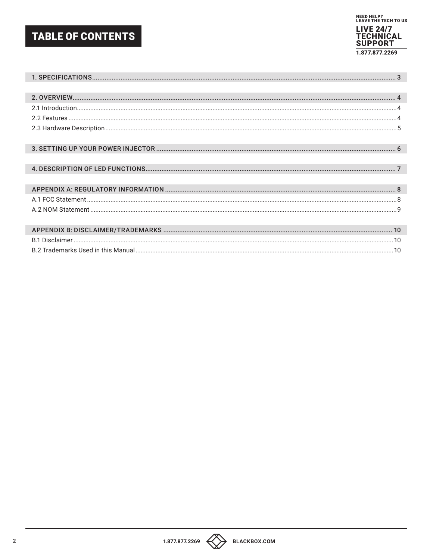## **TABLE OF CONTENTS**





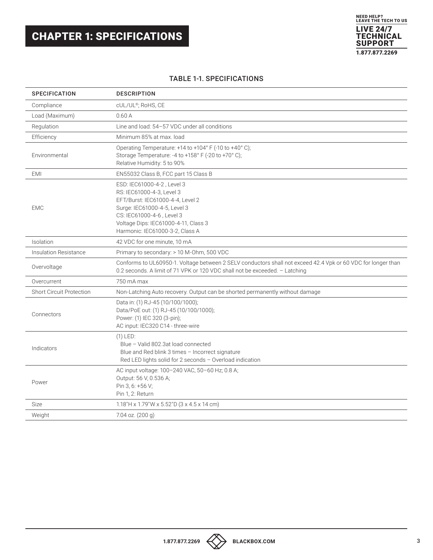## <span id="page-2-0"></span>CHAPTER 1: SPECIFICATIONS

#### TABLE 1-1. SPECIFICATIONS

| <b>SPECIFICATION</b>            | <b>DESCRIPTION</b>                                                                                                                                                                                                                  |
|---------------------------------|-------------------------------------------------------------------------------------------------------------------------------------------------------------------------------------------------------------------------------------|
| Compliance                      | cUL/UL <sup>®</sup> ; RoHS, CE                                                                                                                                                                                                      |
| Load (Maximum)                  | 0.60A                                                                                                                                                                                                                               |
| Regulation                      | Line and load: 54-57 VDC under all conditions                                                                                                                                                                                       |
| Efficiency                      | Minimum 85% at max. load                                                                                                                                                                                                            |
| Environmental                   | Operating Temperature: +14 to +104° F (-10 to +40° C);<br>Storage Temperature: -4 to +158° F (-20 to +70° C);<br>Relative Humidity: 5 to 90%                                                                                        |
| <b>EMI</b>                      | EN55032 Class B, FCC part 15 Class B                                                                                                                                                                                                |
| <b>EMC</b>                      | ESD: IEC61000-4-2, Level 3<br>RS: IEC61000-4-3, Level 3<br>EFT/Burst: IEC61000-4-4, Level 2<br>Surge: IEC61000-4-5, Level 3<br>CS: IEC61000-4-6, Level 3<br>Voltage Dips: IEC61000-4-11, Class 3<br>Harmonic: IEC61000-3-2, Class A |
| Isolation                       | 42 VDC for one minute, 10 mA                                                                                                                                                                                                        |
| Insulation Resistance           | Primary to secondary: > 10 M-Ohm, 500 VDC                                                                                                                                                                                           |
| Overvoltage                     | Conforms to UL60950-1. Voltage between 2 SELV conductors shall not exceed 42.4 Vpk or 60 VDC for longer than<br>0.2 seconds. A limit of 71 VPK or 120 VDC shall not be exceeded. - Latching                                         |
| Overcurrent                     | 750 mA max                                                                                                                                                                                                                          |
| <b>Short Circuit Protection</b> | Non-Latching Auto recovery. Output can be shorted permanently without damage                                                                                                                                                        |
| Connectors                      | Data in: (1) RJ-45 (10/100/1000);<br>Data/PoE out: (1) RJ-45 (10/100/1000);<br>Power: (1) IEC 320 (3-pin);<br>AC input: IEC320 C14 - three-wire                                                                                     |
| Indicators                      | $(1)$ LED:<br>Blue - Valid 802.3at load connected<br>Blue and Red blink 3 times - Incorrect signature<br>Red LED lights solid for 2 seconds - Overload indication                                                                   |
| Power                           | AC input voltage: 100-240 VAC, 50-60 Hz; 0.8 A;<br>Output: 56 V, 0.536 A;<br>Pin 3, 6: +56 V;<br>Pin 1.2: Return                                                                                                                    |
| Size                            | 1.18"H x 1.79"W x 5.52"D (3 x 4.5 x 14 cm)                                                                                                                                                                                          |
| Weight                          | 7.04 oz. (200 g)                                                                                                                                                                                                                    |

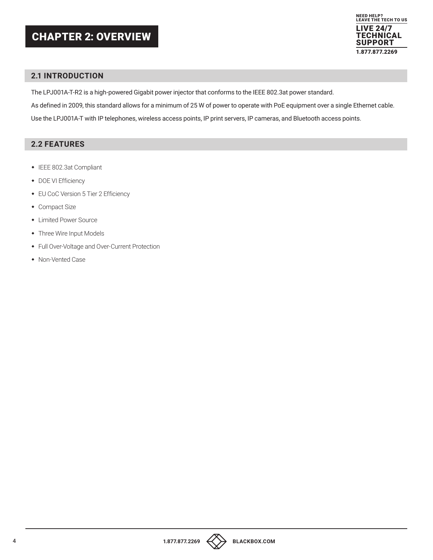## <span id="page-3-0"></span>CHAPTER 2: OVERVIEW



#### <span id="page-3-1"></span>**2.1 INTRODUCTION**

The LPJ001A-T-R2 is a high-powered Gigabit power injector that conforms to the IEEE 802.3at power standard.

As defined in 2009, this standard allows for a minimum of 25 W of power to operate with PoE equipment over a single Ethernet cable.

Use the LPJ001A-T with IP telephones, wireless access points, IP print servers, IP cameras, and Bluetooth access points.

#### <span id="page-3-2"></span>**2.2 FEATURES**

- IEEE 802.3at Compliant
- DOE VI Efficiency
- EU CoC Version 5 Tier 2 Efficiency
- Compact Size
- Limited Power Source
- Three Wire Input Models
- Full Over-Voltage and Over-Current Protection
- Non-Vented Case



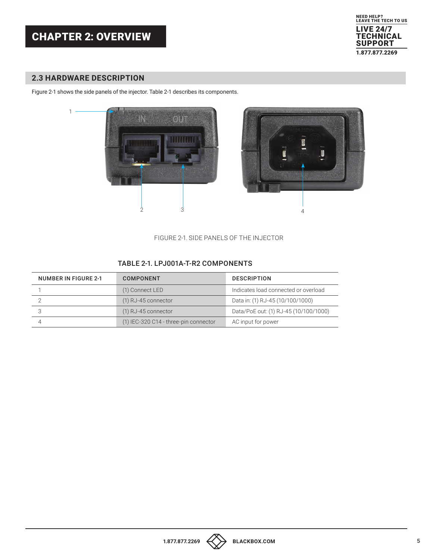## CHAPTER 2: OVERVIEW



#### <span id="page-4-0"></span>**2.3 HARDWARE DESCRIPTION**

Figure 2-1 shows the side panels of the injector. Table 2-1 describes its components.



FIGURE 2-1. SIDE PANELS OF THE INJECTOR

#### TABLE 2-1. LPJ001A-T-R2 COMPONENTS

| <b>NUMBER IN FIGURE 2-1</b> | <b>COMPONENT</b>                      | <b>DESCRIPTION</b>                    |
|-----------------------------|---------------------------------------|---------------------------------------|
|                             | (1) Connect LED                       | Indicates load connected or overload  |
|                             | $(1)$ RJ-45 connector                 | Data in: (1) RJ-45 (10/100/1000)      |
|                             | $(1)$ RJ-45 connector                 | Data/PoE out: (1) RJ-45 (10/100/1000) |
|                             | (1) IEC-320 C14 - three-pin connector | AC input for power                    |

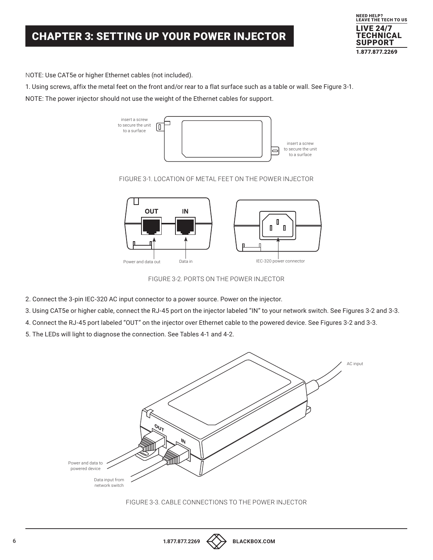## <span id="page-5-0"></span>CHAPTER 3: SETTING UP YOUR POWER INJECTOR



NOTE: Use CAT5e or higher Ethernet cables (not included).

1. Using screws, affix the metal feet on the front and/or rear to a flat surface such as a table or wall. See Figure 3-1.

NOTE: The power injector should not use the weight of the Ethernet cables for support.



#### FIGURE 3-1. LOCATION OF METAL FEET ON THE POWER INJECTOR



FIGURE 3-2. PORTS ON THE POWER INJECTOR

- 2. Connect the 3-pin IEC-320 AC input connector to a power source. Power on the injector.
- 3. Using CAT5e or higher cable, connect the RJ-45 port on the injector labeled "IN" to your network switch. See Figures 3-2 and 3-3.
- 4. Connect the RJ-45 port labeled "OUT" on the injector over Ethernet cable to the powered device. See Figures 3-2 and 3-3.

5. The LEDs will light to diagnose the connection. See Tables 4-1 and 4-2.



FIGURE 3-3. CABLE CONNECTIONS TO THE POWER INJECTOR

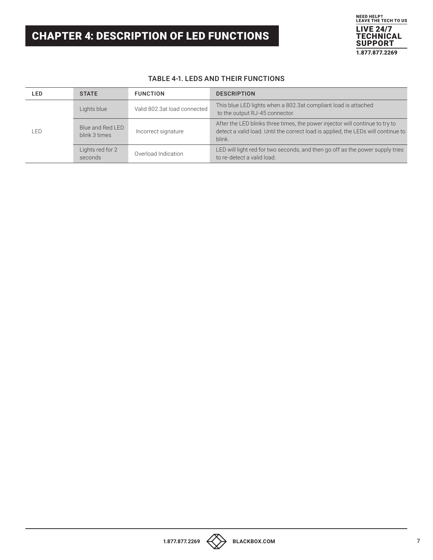## <span id="page-6-0"></span>CHAPTER 4: DESCRIPTION OF LED FUNCTIONS



#### TABLE 4-1. LEDS AND THEIR FUNCTIONS

| LED | <b>STATE</b>                      | <b>FUNCTION</b>              | <b>DESCRIPTION</b>                                                                                                                                                          |
|-----|-----------------------------------|------------------------------|-----------------------------------------------------------------------------------------------------------------------------------------------------------------------------|
| LED | Lights blue                       | Valid 802.3at load connected | This blue LED lights when a 802.3at compliant load is attached<br>to the output RJ-45 connector.                                                                            |
|     | Blue and Red LED<br>blink 3 times | Incorrect signature          | After the LED blinks three times, the power injector will continue to try to<br>detect a valid load. Until the correct load is applied, the LEDs will continue to<br>blink. |
|     | Lights red for 2<br>seconds       | Overload Indication          | LED will light red for two seconds, and then go off as the power supply tries<br>to re-detect a valid load.                                                                 |

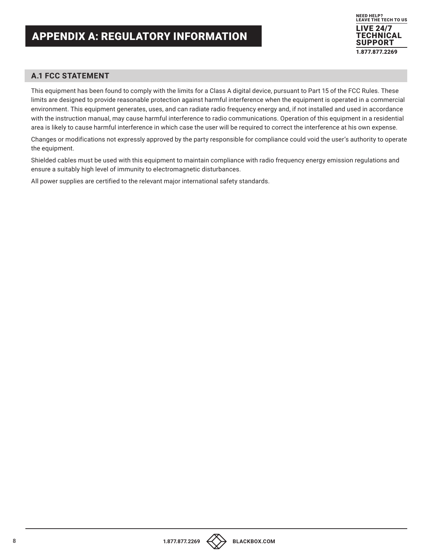#### <span id="page-7-1"></span><span id="page-7-0"></span>**A.1 FCC STATEMENT**

This equipment has been found to comply with the limits for a Class A digital device, pursuant to Part 15 of the FCC Rules. These limits are designed to provide reasonable protection against harmful interference when the equipment is operated in a commercial environment. This equipment generates, uses, and can radiate radio frequency energy and, if not installed and used in accordance with the instruction manual, may cause harmful interference to radio communications. Operation of this equipment in a residential area is likely to cause harmful interference in which case the user will be required to correct the interference at his own expense.

Changes or modifications not expressly approved by the party responsible for compliance could void the user's authority to operate the equipment.

Shielded cables must be used with this equipment to maintain compliance with radio frequency energy emission regulations and ensure a suitably high level of immunity to electromagnetic disturbances.

All power supplies are certified to the relevant major international safety standards.

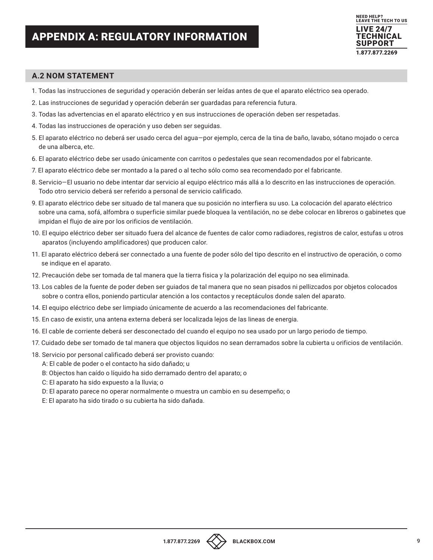

#### <span id="page-8-0"></span>**A.2 NOM STATEMENT**

- 1. Todas las instrucciones de seguridad y operación deberán ser leídas antes de que el aparato eléctrico sea operado.
- 2. Las instrucciones de seguridad y operación deberán ser guardadas para referencia futura.
- 3. Todas las advertencias en el aparato eléctrico y en sus instrucciones de operación deben ser respetadas.
- 4. Todas las instrucciones de operación y uso deben ser seguidas.
- 5. El aparato eléctrico no deberá ser usado cerca del agua—por ejemplo, cerca de la tina de baño, lavabo, sótano mojado o cerca de una alberca, etc.
- 6. El aparato eléctrico debe ser usado únicamente con carritos o pedestales que sean recomendados por el fabricante.
- 7. El aparato eléctrico debe ser montado a la pared o al techo sólo como sea recomendado por el fabricante.
- 8. Servicio—El usuario no debe intentar dar servicio al equipo eléctrico más allá a lo descrito en las instrucciones de operación. Todo otro servicio deberá ser referido a personal de servicio calificado.
- 9. El aparato eléctrico debe ser situado de tal manera que su posición no interfiera su uso. La colocación del aparato eléctrico sobre una cama, sofá, alfombra o superficie similar puede bloquea la ventilación, no se debe colocar en libreros o gabinetes que impidan el flujo de aire por los orificios de ventilación.
- 10. El equipo eléctrico deber ser situado fuera del alcance de fuentes de calor como radiadores, registros de calor, estufas u otros aparatos (incluyendo amplificadores) que producen calor.
- 11. El aparato eléctrico deberá ser connectado a una fuente de poder sólo del tipo descrito en el instructivo de operación, o como se indique en el aparato.
- 12. Precaución debe ser tomada de tal manera que la tierra fisica y la polarización del equipo no sea eliminada.
- 13. Los cables de la fuente de poder deben ser guiados de tal manera que no sean pisados ni pellizcados por objetos colocados sobre o contra ellos, poniendo particular atención a los contactos y receptáculos donde salen del aparato.
- 14. El equipo eléctrico debe ser limpiado únicamente de acuerdo a las recomendaciones del fabricante.
- 15. En caso de existir, una antena externa deberá ser localizada lejos de las lineas de energia.
- 16. El cable de corriente deberá ser desconectado del cuando el equipo no sea usado por un largo periodo de tiempo.
- 17. Cuidado debe ser tomado de tal manera que objectos liquidos no sean derramados sobre la cubierta u orificios de ventilación.
- 18. Servicio por personal calificado deberá ser provisto cuando:
	- A: El cable de poder o el contacto ha sido dañado; u
	- B: Objectos han caído o líquido ha sido derramado dentro del aparato; o
	- C: El aparato ha sido expuesto a la lluvia; o
	- D: El aparato parece no operar normalmente o muestra un cambio en su desempeño; o
	- E: El aparato ha sido tirado o su cubierta ha sido dañada.

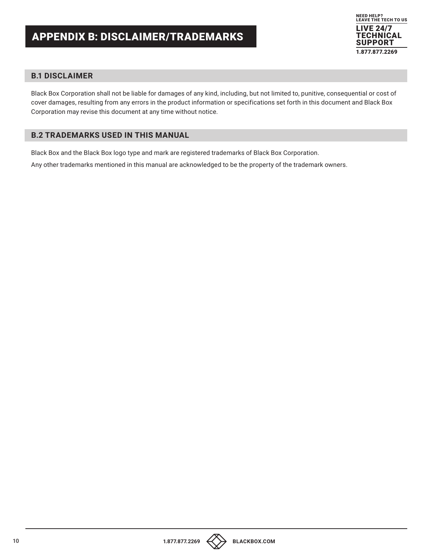

#### <span id="page-9-1"></span><span id="page-9-0"></span>**B.1 DISCLAIMER**

Black Box Corporation shall not be liable for damages of any kind, including, but not limited to, punitive, consequential or cost of cover damages, resulting from any errors in the product information or specifications set forth in this document and Black Box Corporation may revise this document at any time without notice.

#### <span id="page-9-2"></span>**B.2 TRADEMARKS USED IN THIS MANUAL**

Black Box and the Black Box logo type and mark are registered trademarks of Black Box Corporation.

Any other trademarks mentioned in this manual are acknowledged to be the property of the trademark owners.



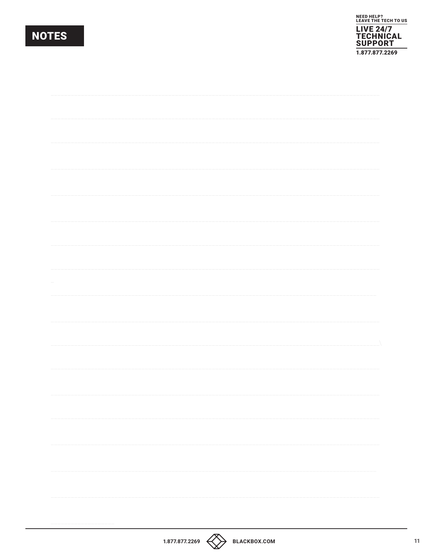## **NOTES**